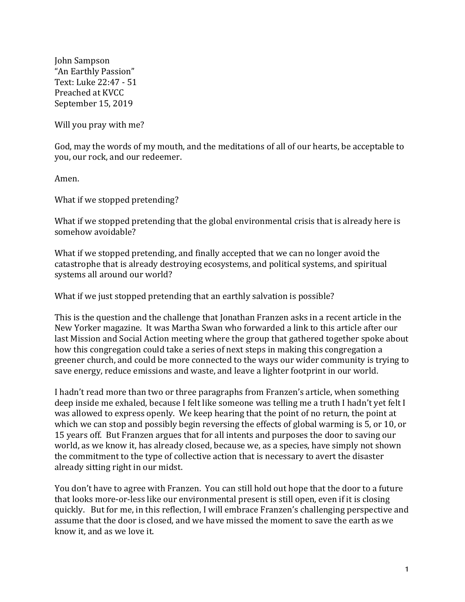John Sampson "An Earthly Passion" Text: Luke 22:47 - 51 Preached at KVCC September 15, 2019

Will you pray with me?

God, may the words of my mouth, and the meditations of all of our hearts, be acceptable to you, our rock, and our redeemer.

Amen.

What if we stopped pretending?

What if we stopped pretending that the global environmental crisis that is already here is somehow avoidable?

What if we stopped pretending, and finally accepted that we can no longer avoid the catastrophe that is already destroying ecosystems, and political systems, and spiritual systems all around our world?

What if we just stopped pretending that an earthly salvation is possible?

This is the question and the challenge that Jonathan Franzen asks in a recent article in the New Yorker magazine. It was Martha Swan who forwarded a link to this article after our last Mission and Social Action meeting where the group that gathered together spoke about how this congregation could take a series of next steps in making this congregation a greener church, and could be more connected to the ways our wider community is trying to save energy, reduce emissions and waste, and leave a lighter footprint in our world.

I hadn't read more than two or three paragraphs from Franzen's article, when something deep inside me exhaled, because I felt like someone was telling me a truth I hadn't yet felt I was allowed to express openly. We keep hearing that the point of no return, the point at which we can stop and possibly begin reversing the effects of global warming is 5, or 10, or 15 years off. But Franzen argues that for all intents and purposes the door to saving our world, as we know it, has already closed, because we, as a species, have simply not shown the commitment to the type of collective action that is necessary to avert the disaster already sitting right in our midst.

You don't have to agree with Franzen. You can still hold out hope that the door to a future that looks more-or-less like our environmental present is still open, even if it is closing quickly. But for me, in this reflection, I will embrace Franzen's challenging perspective and assume that the door is closed, and we have missed the moment to save the earth as we know it, and as we love it.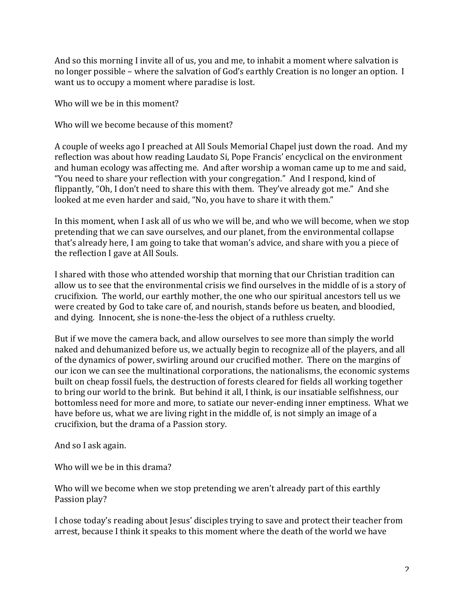And so this morning I invite all of us, you and me, to inhabit a moment where salvation is no longer possible – where the salvation of God's earthly Creation is no longer an option. I want us to occupy a moment where paradise is lost.

Who will we be in this moment?

Who will we become because of this moment?

A couple of weeks ago I preached at All Souls Memorial Chapel just down the road. And my reflection was about how reading Laudato Si, Pope Francis' encyclical on the environment and human ecology was affecting me. And after worship a woman came up to me and said, "You need to share your reflection with your congregation." And I respond, kind of flippantly, "Oh, I don't need to share this with them. They've already got me." And she looked at me even harder and said, "No, you have to share it with them."

In this moment, when I ask all of us who we will be, and who we will become, when we stop pretending that we can save ourselves, and our planet, from the environmental collapse that's already here, I am going to take that woman's advice, and share with you a piece of the reflection I gave at All Souls.

I shared with those who attended worship that morning that our Christian tradition can allow us to see that the environmental crisis we find ourselves in the middle of is a story of crucifixion. The world, our earthly mother, the one who our spiritual ancestors tell us we were created by God to take care of, and nourish, stands before us beaten, and bloodied, and dying. Innocent, she is none-the-less the object of a ruthless cruelty.

But if we move the camera back, and allow ourselves to see more than simply the world naked and dehumanized before us, we actually begin to recognize all of the players, and all of the dynamics of power, swirling around our crucified mother. There on the margins of our icon we can see the multinational corporations, the nationalisms, the economic systems built on cheap fossil fuels, the destruction of forests cleared for fields all working together to bring our world to the brink. But behind it all, I think, is our insatiable selfishness, our bottomless need for more and more, to satiate our never-ending inner emptiness. What we have before us, what we are living right in the middle of, is not simply an image of a crucifixion, but the drama of a Passion story.

And so I ask again.

Who will we be in this drama?

Who will we become when we stop pretending we aren't already part of this earthly Passion play?

I chose today's reading about Jesus' disciples trying to save and protect their teacher from arrest, because I think it speaks to this moment where the death of the world we have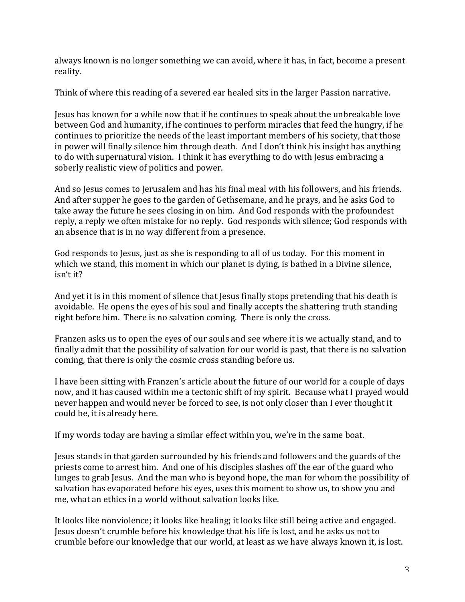always known is no longer something we can avoid, where it has, in fact, become a present reality.

Think of where this reading of a severed ear healed sits in the larger Passion narrative.

Jesus has known for a while now that if he continues to speak about the unbreakable love between God and humanity, if he continues to perform miracles that feed the hungry, if he continues to prioritize the needs of the least important members of his society, that those in power will finally silence him through death. And I don't think his insight has anything to do with supernatural vision. I think it has everything to do with Jesus embracing a soberly realistic view of politics and power.

And so Jesus comes to Jerusalem and has his final meal with his followers, and his friends. And after supper he goes to the garden of Gethsemane, and he prays, and he asks God to take away the future he sees closing in on him. And God responds with the profoundest reply, a reply we often mistake for no reply. God responds with silence; God responds with an absence that is in no way different from a presence.

God responds to Jesus, just as she is responding to all of us today. For this moment in which we stand, this moment in which our planet is dying, is bathed in a Divine silence, isn't it?

And yet it is in this moment of silence that Jesus finally stops pretending that his death is avoidable. He opens the eyes of his soul and finally accepts the shattering truth standing right before him. There is no salvation coming. There is only the cross.

Franzen asks us to open the eyes of our souls and see where it is we actually stand, and to finally admit that the possibility of salvation for our world is past, that there is no salvation coming, that there is only the cosmic cross standing before us.

I have been sitting with Franzen's article about the future of our world for a couple of days now, and it has caused within me a tectonic shift of my spirit. Because what I prayed would never happen and would never be forced to see, is not only closer than I ever thought it could be, it is already here.

If my words today are having a similar effect within you, we're in the same boat.

Jesus stands in that garden surrounded by his friends and followers and the guards of the priests come to arrest him. And one of his disciples slashes off the ear of the guard who lunges to grab Jesus. And the man who is beyond hope, the man for whom the possibility of salvation has evaporated before his eyes, uses this moment to show us, to show you and me, what an ethics in a world without salvation looks like.

It looks like nonviolence; it looks like healing; it looks like still being active and engaged. Jesus doesn't crumble before his knowledge that his life is lost, and he asks us not to crumble before our knowledge that our world, at least as we have always known it, is lost.